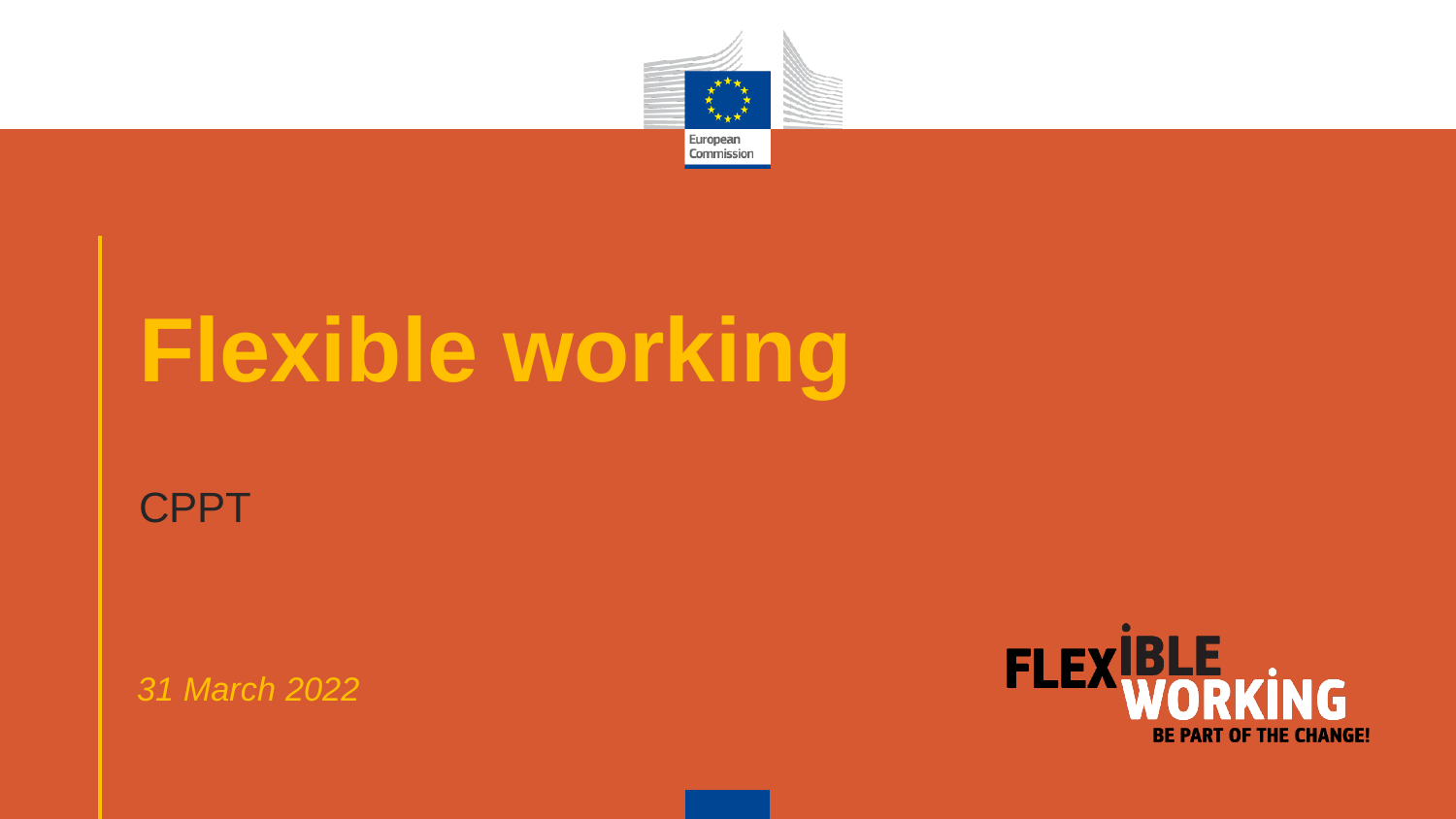

# **Flexible working**

#### **CPPT**

*31 March 2022*

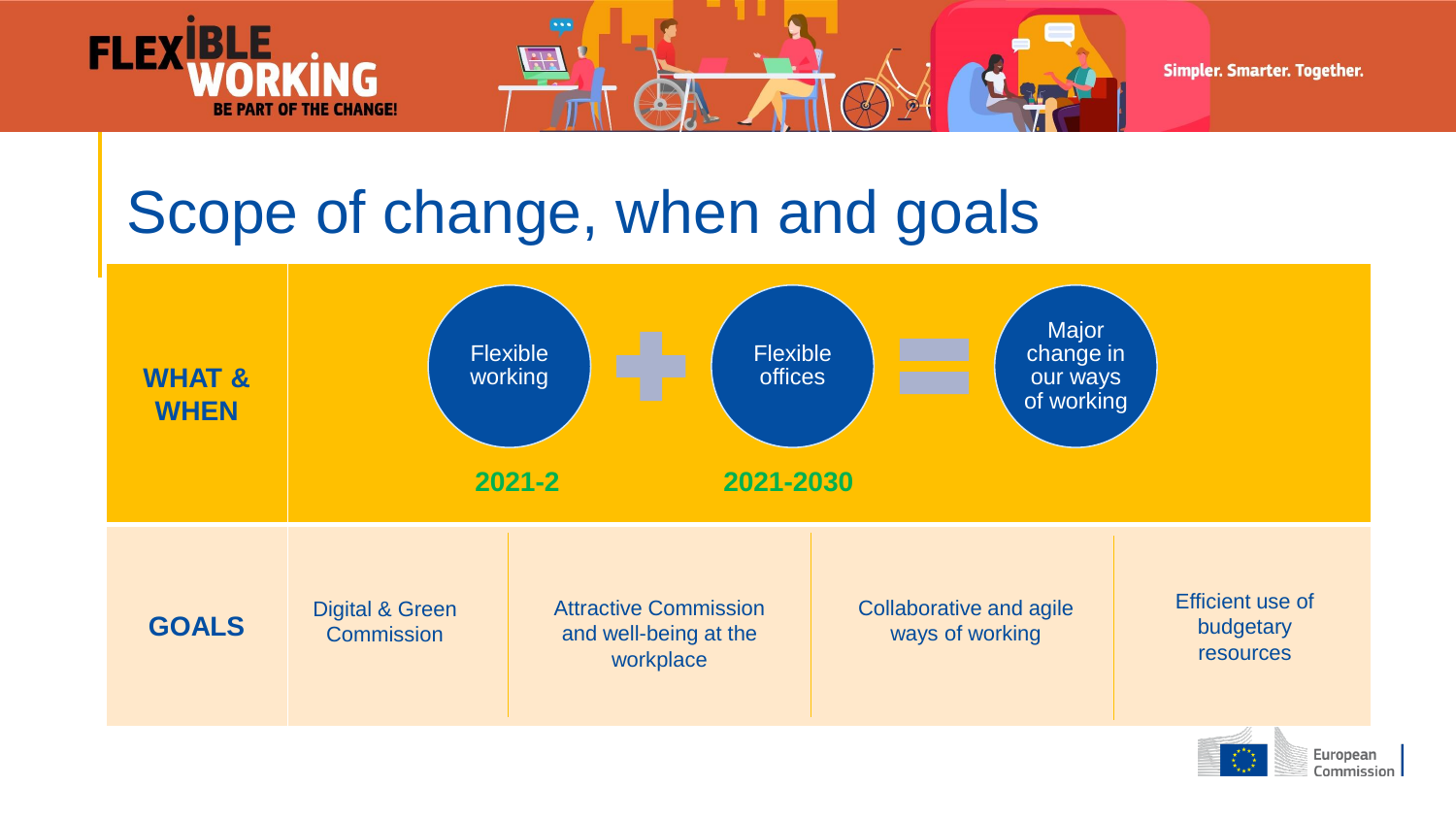

### Scope of change, when and goals





 $\begin{smallmatrix} \star^{\star\star}\star_{\star} \\ \star_{\star\to\star} \\ \star_{\star\to\star} \end{smallmatrix}$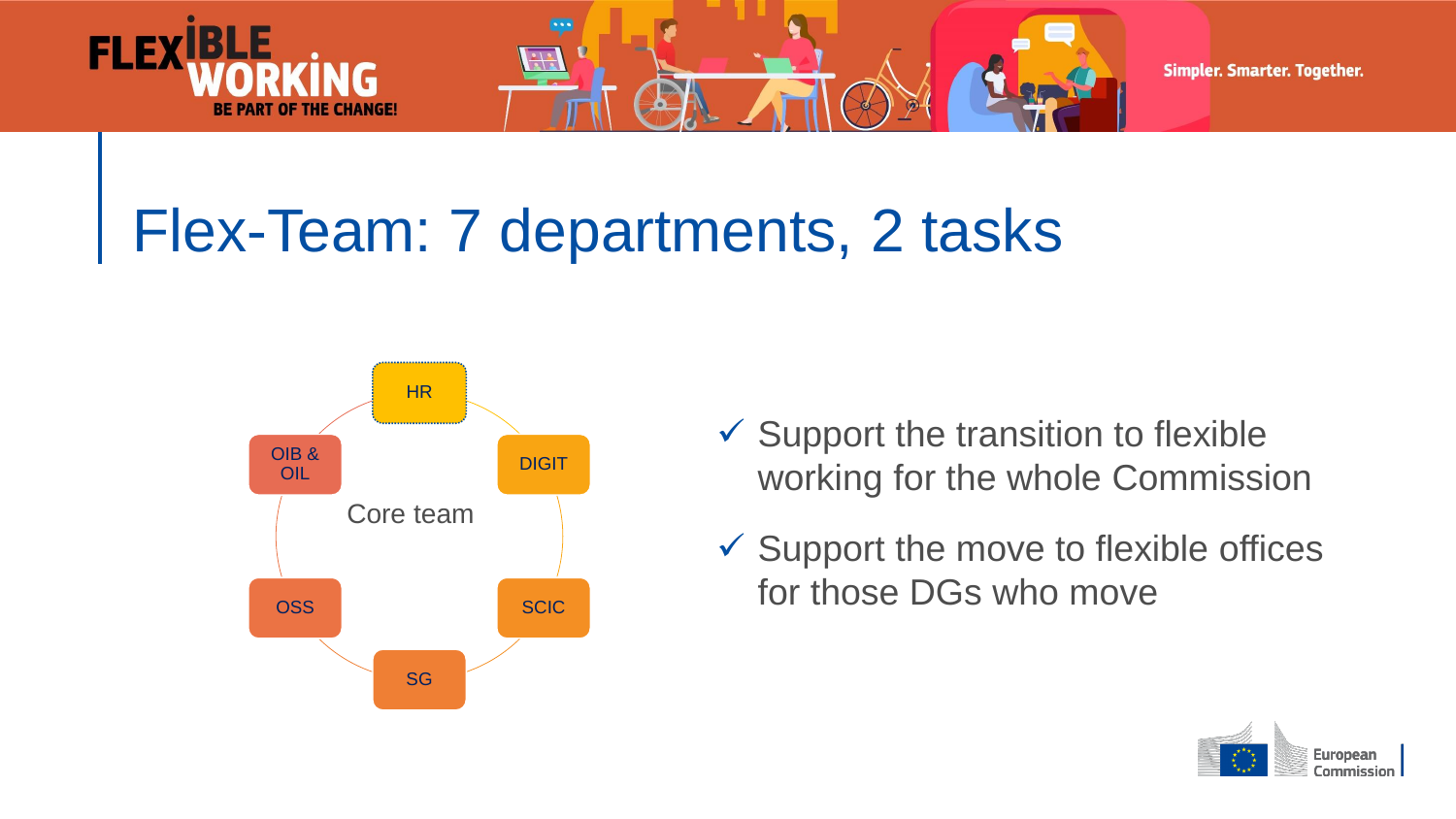

Simpler. Smarter. Together.

### Flex-Team: 7 departments, 2 tasks



**FLEX** 

- $\checkmark$  Support the transition to flexible working for the whole Commission
- $\checkmark$  Support the move to flexible offices for those DGs who move

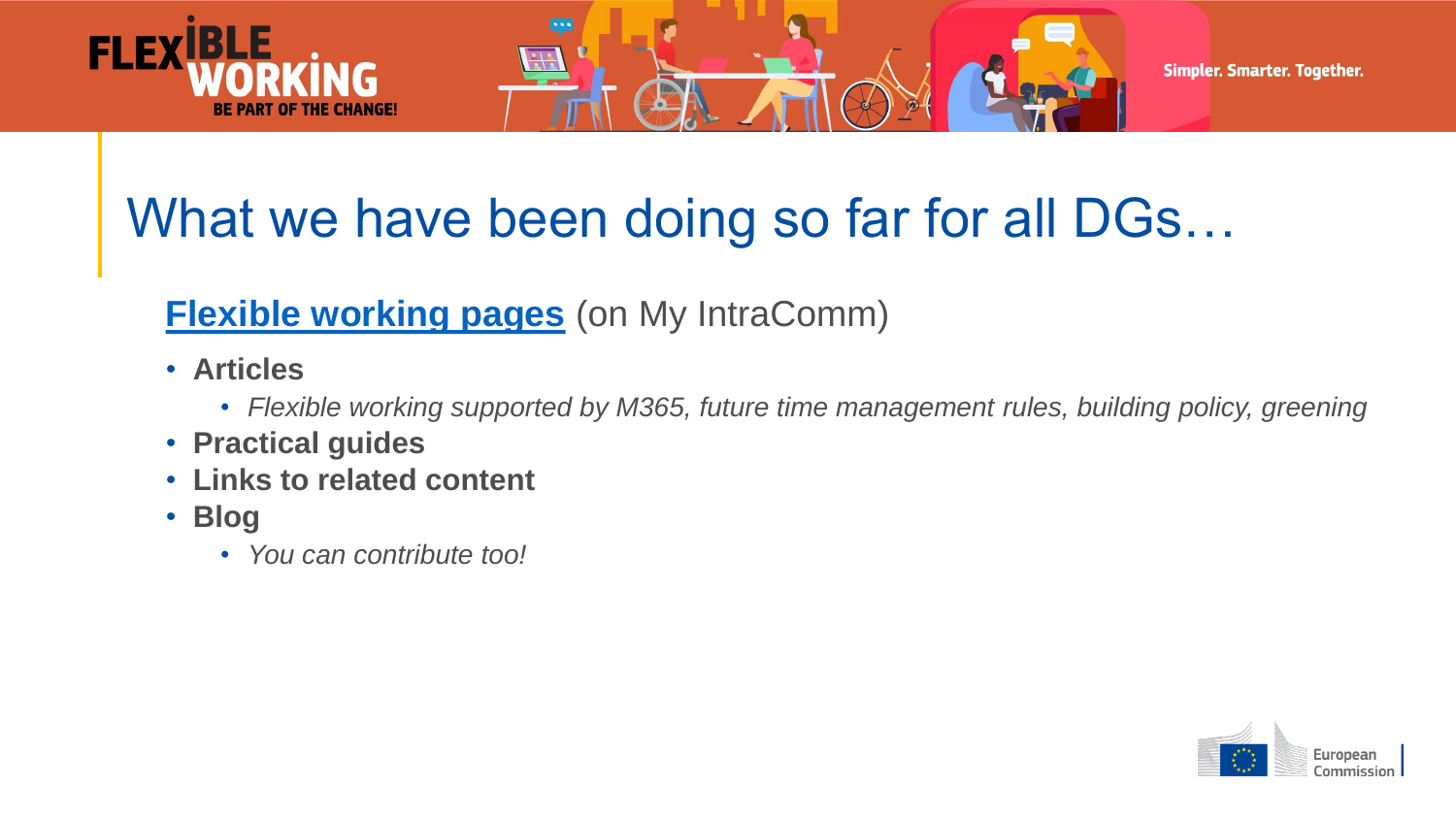

#### What we have been doing so far for all DGs...

#### **[Flexible working pages](https://myintracomm.ec.europa.eu/flexible-working/Pages/index.aspx)** (on My IntraComm)

- **Articles**
	- *Flexible working supported by M365, future time management rules, building policy, greening*
- **Practical guides**
- **Links to related content**
- **Blog**
	- *You can contribute too!*

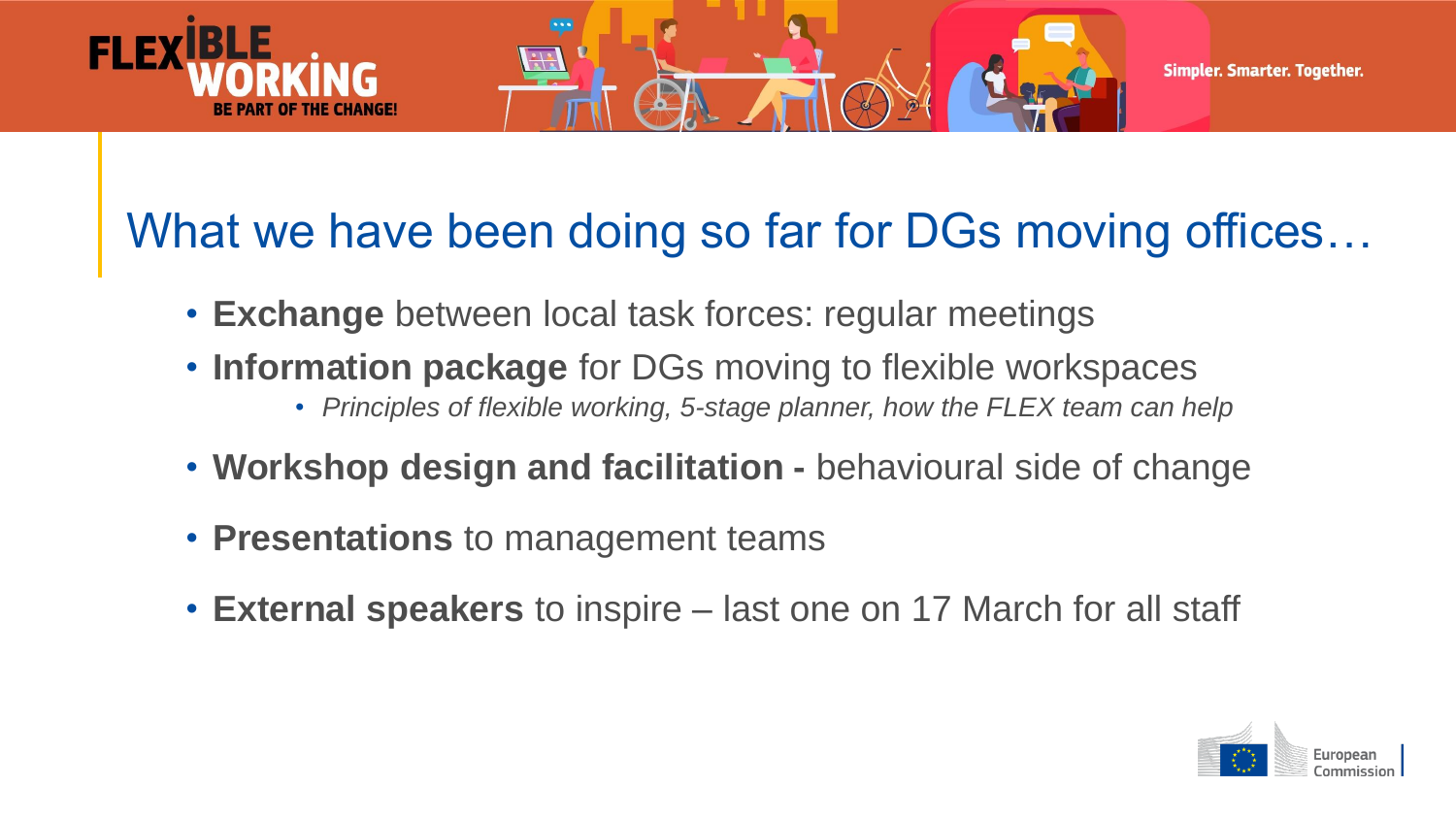

Simpler. Smarter. Together.

#### What we have been doing so far for DGs moving offices…

- **Exchange** between local task forces: regular meetings
- **Information package** for DGs moving to flexible workspaces
	- *Principles of flexible working, 5-stage planner, how the FLEX team can help*
- **Workshop design and facilitation -** behavioural side of change
- **Presentations** to management teams
- **External speakers** to inspire last one on 17 March for all staff

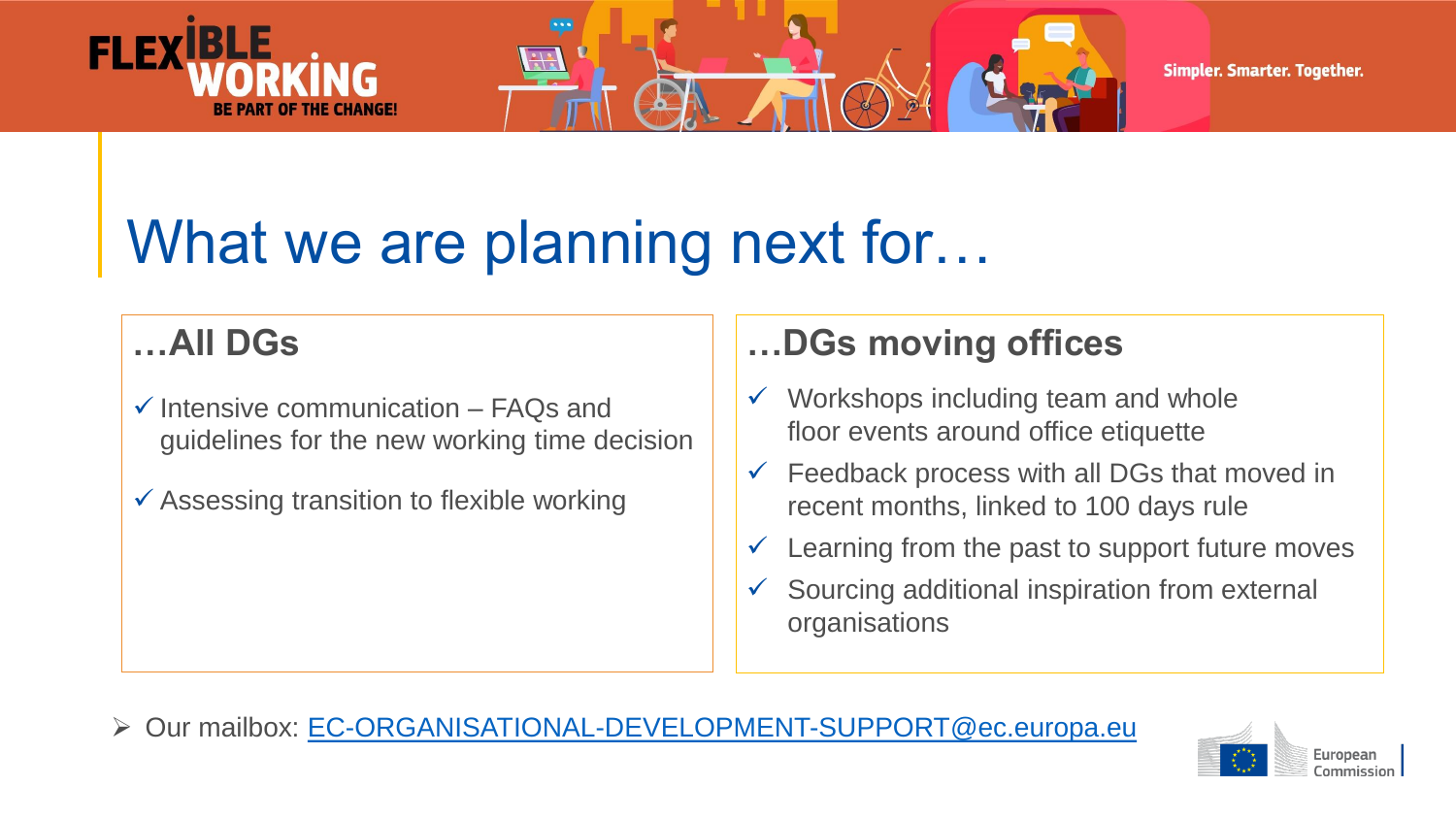



Simpler. Smarter. Together.

### What we are planning next for...

#### **…All DGs**

- $\checkmark$  Intensive communication FAQs and guidelines for the new working time decision
- $\checkmark$  Assessing transition to flexible working

#### **…DGs moving offices**

- $\checkmark$  Workshops including team and whole floor events around office etiquette
- $\checkmark$  Feedback process with all DGs that moved in recent months, linked to 100 days rule
- $\checkmark$  Learning from the past to support future moves
- $\checkmark$  Sourcing additional inspiration from external organisations

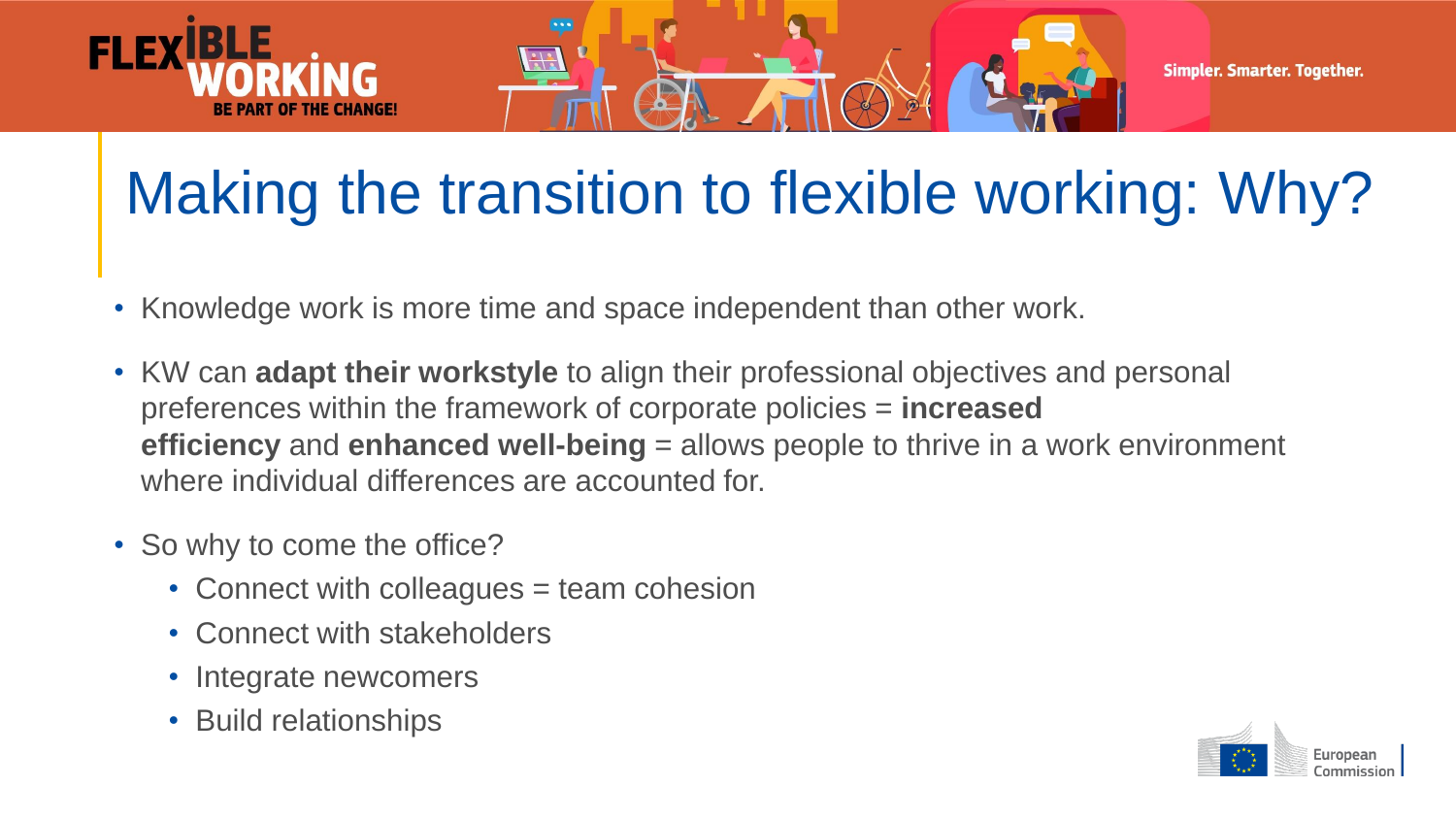

# Making the transition to flexible working: Why?

- Knowledge work is more time and space independent than other work.
- KW can **adapt their workstyle** to align their professional objectives and personal preferences within the framework of corporate policies = **increased efficiency** and **enhanced well-being** = allows people to thrive in a work environment where individual differences are accounted for.
- So why to come the office?
	- Connect with colleagues = team cohesion
	- Connect with stakeholders
	- Integrate newcomers
	- Build relationships

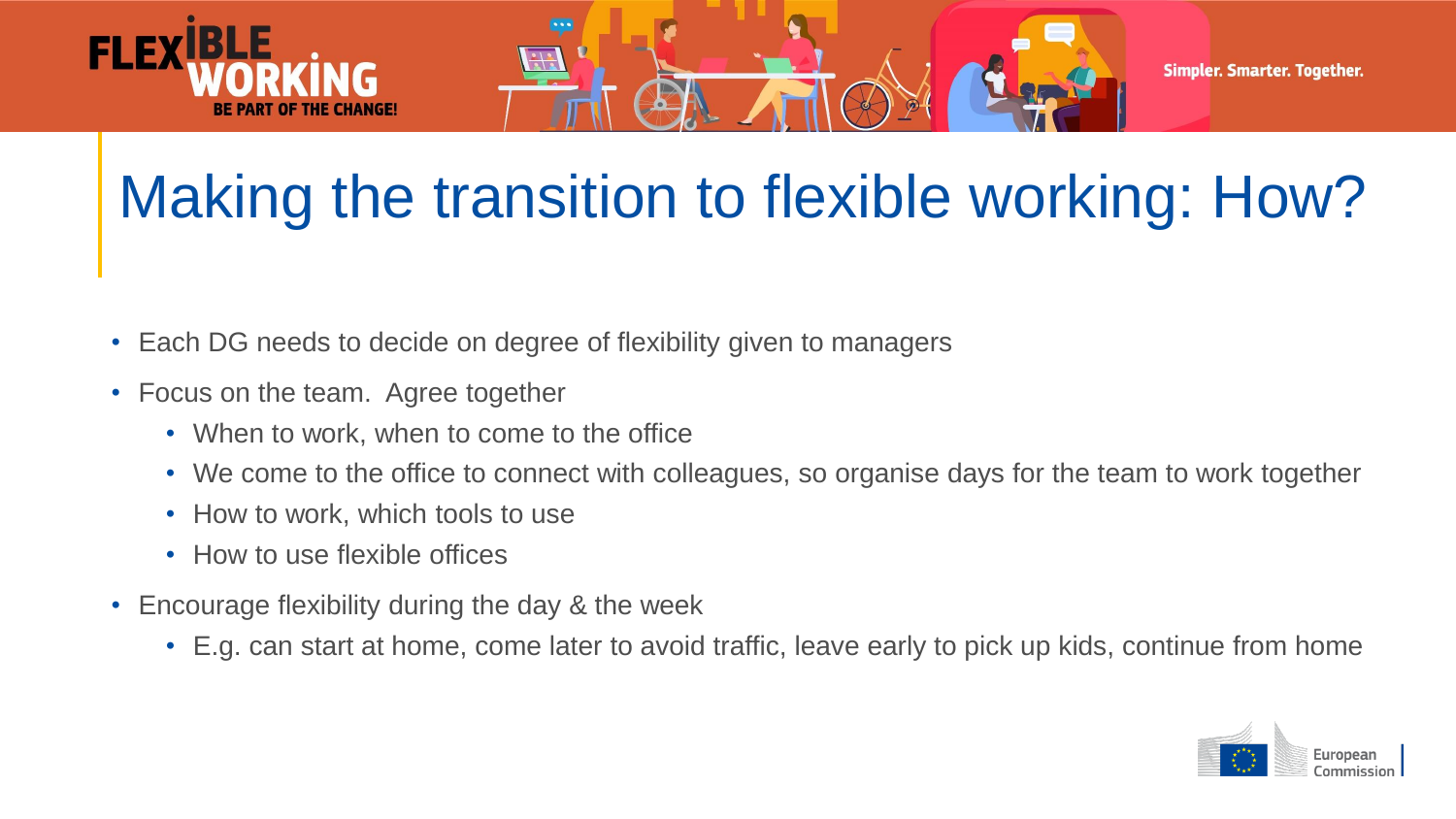

# Making the transition to flexible working: How?

- Each DG needs to decide on degree of flexibility given to managers
- Focus on the team. Agree together
	- When to work, when to come to the office
	- We come to the office to connect with colleagues, so organise days for the team to work together
	- How to work, which tools to use
	- How to use flexible offices
- Encourage flexibility during the day & the week
	- E.g. can start at home, come later to avoid traffic, leave early to pick up kids, continue from home